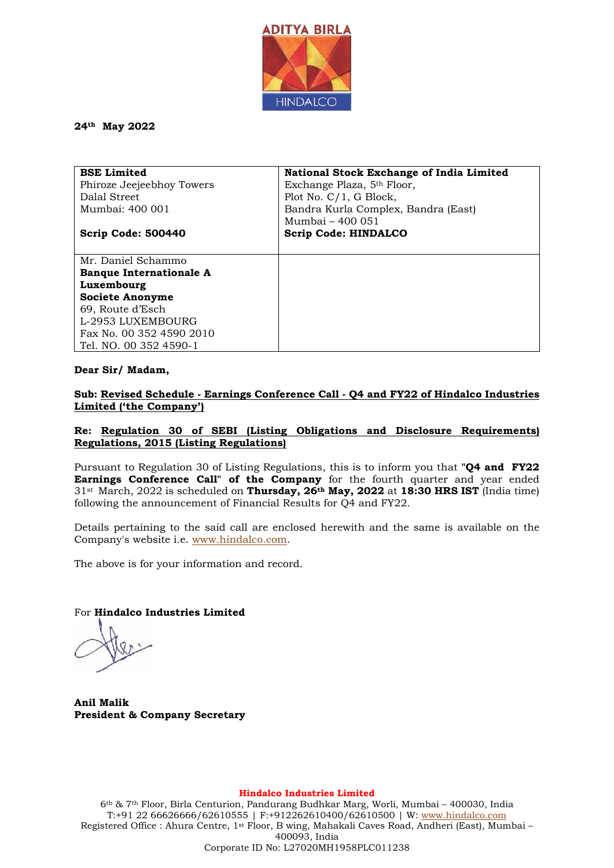

### **24th May 2022**

| <b>BSE Limited</b>             | <b>National Stock Exchange of India Limited</b> |
|--------------------------------|-------------------------------------------------|
| Phiroze Jeejeebhoy Towers      | Exchange Plaza, 5 <sup>th</sup> Floor,          |
| Dalal Street                   | Plot No. $C/1$ , G Block,                       |
| Mumbai: 400 001                | Bandra Kurla Complex, Bandra (East)             |
|                                | Mumbai - 400 051                                |
| Scrip Code: 500440             | <b>Scrip Code: HINDALCO</b>                     |
|                                |                                                 |
| Mr. Daniel Schammo             |                                                 |
| <b>Banque Internationale A</b> |                                                 |
| Luxembourg                     |                                                 |
| <b>Societe Anonyme</b>         |                                                 |
| 69, Route d'Esch               |                                                 |
| L-2953 LUXEMBOURG              |                                                 |
| Fax No. 00 352 4590 2010       |                                                 |
| Tel. NO. 00 352 4590-1         |                                                 |

#### **Dear Sir/ Madam,**

### **Sub: Revised Schedule - Earnings Conference Call - Q4 and FY22 of Hindalco Industries Limited ('the Company')**

### **Re: Regulation 30 of SEBI (Listing Obligations and Disclosure Requirements) Regulations, 2015 (Listing Regulations)**

Pursuant to Regulation 30 of Listing Regulations, this is to inform you that **"Q4 and FY22 Earnings Conference Call" of the Company** for the fourth quarter and year ended 31st March, 2022 is scheduled on **Thursday, 26th May, 2022** at **18:30 HRS IST** (India time) following the announcement of Financial Results for Q4 and FY22.

Details pertaining to the said call are enclosed herewith and the same is available on the Company's website i.e. [www.hindalco.com.](http://www.hindalco.com/)

The above is for your information and record.

For **Hindalco Industries Limited** 

**Anil Malik President & Company Secretary**

**Hindalco Industries Limited**

6th & 7th Floor, Birla Centurion, Pandurang Budhkar Marg, Worli, Mumbai – 400030, India T:+91 22 66626666/62610555 | F:+912262610400/62610500 | W: [www.hindalco.com](http://www.hindalco.com/) Registered Office : Ahura Centre, 1st Floor, B wing, Mahakali Caves Road, Andheri (East), Mumbai – 400093, India Corporate ID No: L27020MH1958PLC011238